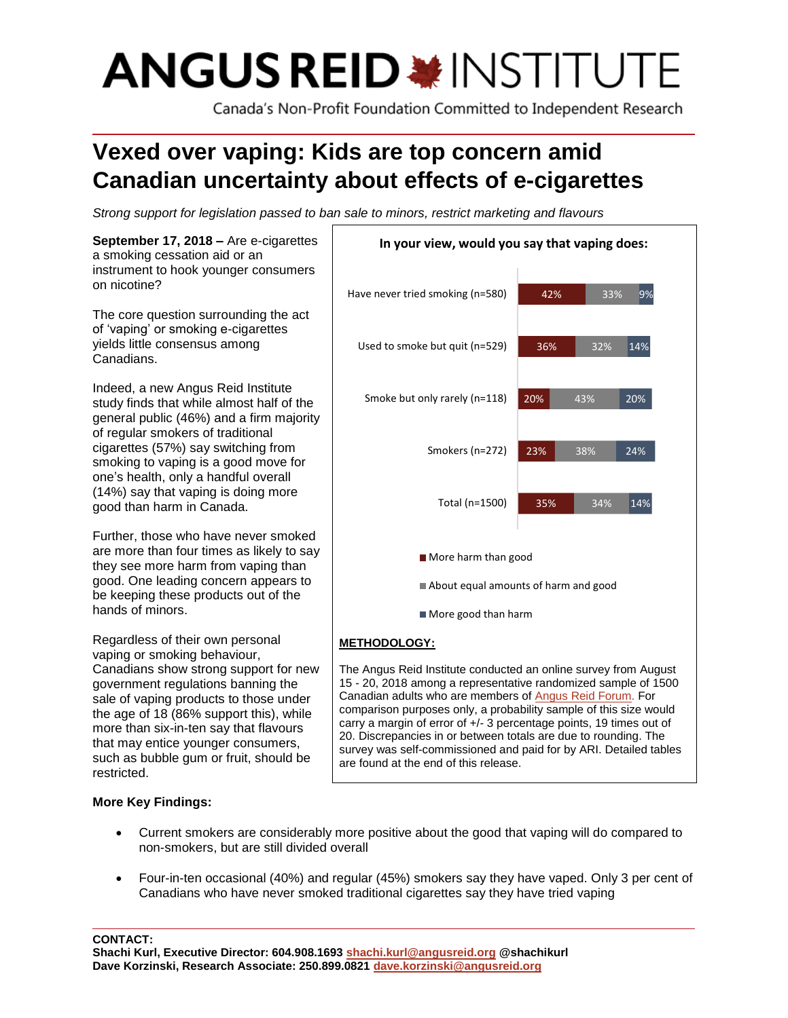# **ANGUS REID \*INSTITUTE**

Canada's Non-Profit Foundation Committed to Independent Research

# **Vexed over vaping: Kids are top concern amid Canadian uncertainty about effects of e-cigarettes**

*Strong support for legislation passed to ban sale to minors, restrict marketing and flavours*



# **More Key Findings:**

- Current smokers are considerably more positive about the good that vaping will do compared to non-smokers, but are still divided overall
- Four-in-ten occasional (40%) and regular (45%) smokers say they have vaped. Only 3 per cent of Canadians who have never smoked traditional cigarettes say they have tried vaping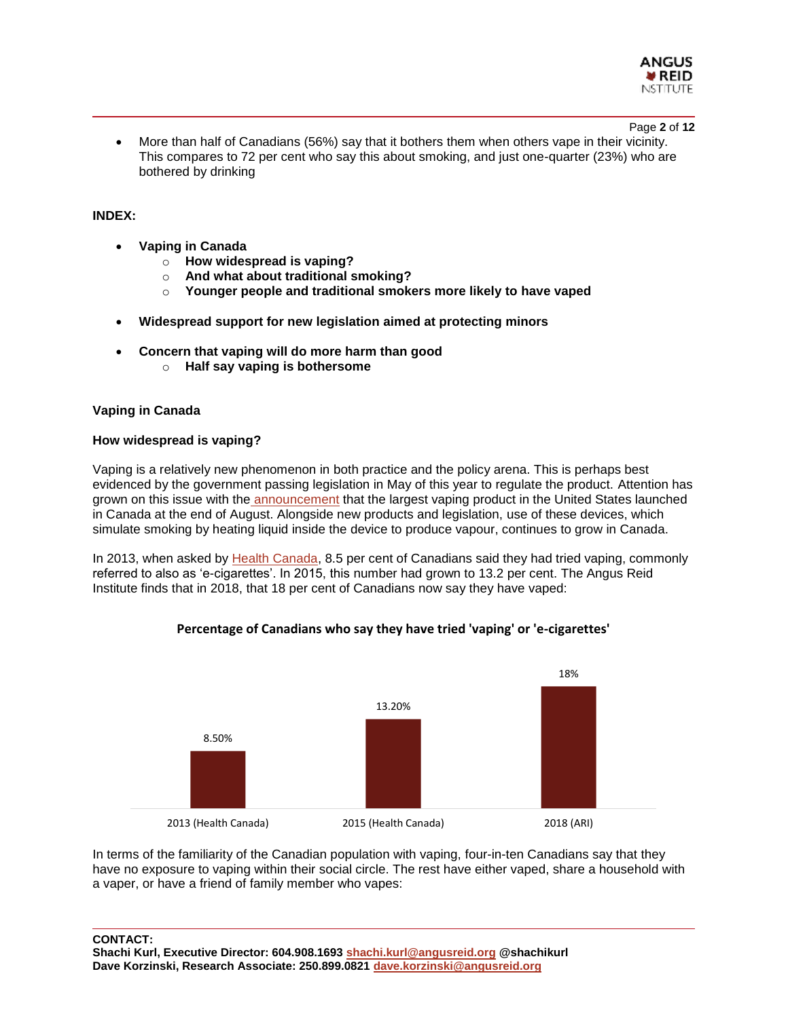

Page **2** of **12**

• More than half of Canadians (56%) say that it bothers them when others vape in their vicinity. This compares to 72 per cent who say this about smoking, and just one-quarter (23%) who are bothered by drinking

#### **INDEX:**

- **Vaping in Canada**
	- o **How widespread is vaping?**
	- o **And what about traditional smoking?**
	- o **Younger people and traditional smokers more likely to have vaped**
- **Widespread support for new legislation aimed at protecting minors**
- **Concern that vaping will do more harm than good** 
	- o **Half say vaping is bothersome**

#### **Vaping in Canada**

#### **How widespread is vaping?**

Vaping is a relatively new phenomenon in both practice and the policy arena. This is perhaps best evidenced by the government passing legislation in May of this year to regulate the product. Attention has grown on this issue with the [announcement](https://www.newswire.ca/news-releases/juul-the-number-one-vapour-product-in-the-us-launches-in-canada-to-help-the-countrys-five-million-adult-smokers-switch-from-combustible-cigarettes-692068101.html) that the largest vaping product in the United States launched in Canada at the end of August. Alongside new products and legislation, use of these devices, which simulate smoking by heating liquid inside the device to produce vapour, continues to grow in Canada.

In 2013, when asked by [Health Canada,](https://uwaterloo.ca/tobacco-use-canada/e-cigarette-use-canada/prevalence-e-cigarette-use) 8.5 per cent of Canadians said they had tried vaping, commonly referred to also as 'e-cigarettes'. In 2015, this number had grown to 13.2 per cent. The Angus Reid Institute finds that in 2018, that 18 per cent of Canadians now say they have vaped:



#### **Percentage of Canadians who say they have tried 'vaping' or 'e-cigarettes'**

In terms of the familiarity of the Canadian population with vaping, four-in-ten Canadians say that they have no exposure to vaping within their social circle. The rest have either vaped, share a household with a vaper, or have a friend of family member who vapes:

**CONTACT:**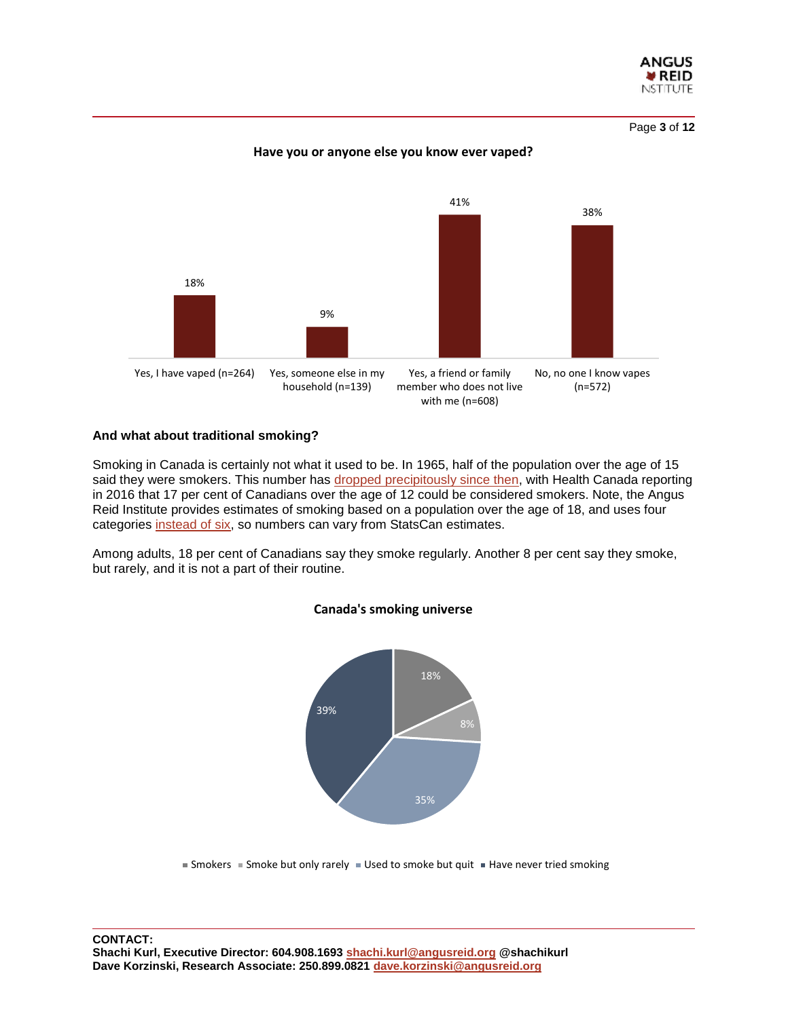

Page **3** of **12**

#### **Have you or anyone else you know ever vaped?**



#### **And what about traditional smoking?**

Smoking in Canada is certainly not what it used to be. In 1965, half of the population over the age of 15 said they were smokers. This number has [dropped precipitously since then,](https://news.vice.com/en_ca/article/4349wd/canadians-are-smoking-less-than-they-used-to) with Health Canada reporting in 2016 that 17 per cent of Canadians over the age of 12 could be considered smokers. Note, the Angus Reid Institute provides estimates of smoking based on a population over the age of 18, and uses four categories [instead of six,](https://www150.statcan.gc.ca/n1/pub/82-625-x/2017001/article/54864-eng.htm) so numbers can vary from StatsCan estimates.

Among adults, 18 per cent of Canadians say they smoke regularly. Another 8 per cent say they smoke, but rarely, and it is not a part of their routine.



#### **Canada's smoking universe**

Smokers  $\blacksquare$  Smoke but only rarely  $\blacksquare$  Used to smoke but quit  $\blacksquare$  Have never tried smoking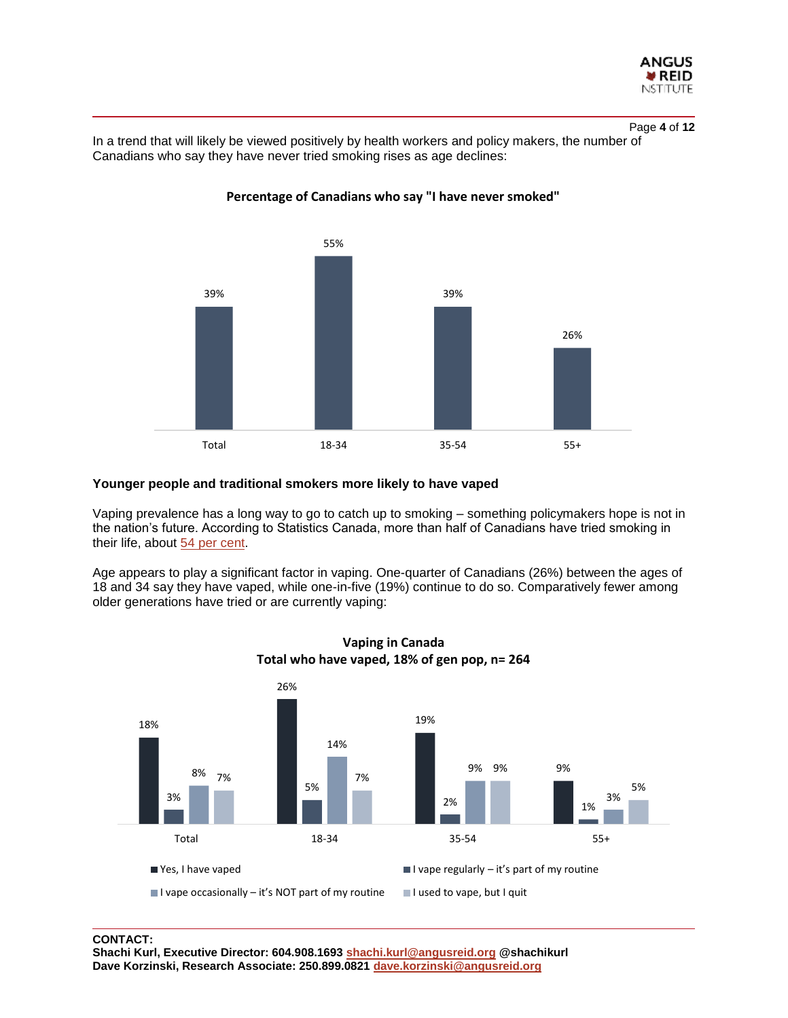

Page **4** of **12**

In a trend that will likely be viewed positively by health workers and policy makers, the number of Canadians who say they have never tried smoking rises as age declines:



# **Percentage of Canadians who say "I have never smoked"**

# **Younger people and traditional smokers more likely to have vaped**

Vaping prevalence has a long way to go to catch up to smoking – something policymakers hope is not in the nation's future. According to Statistics Canada, more than half of Canadians have tried smoking in their life, about [54 per cent.](https://www150.statcan.gc.ca/n1/pub/82-625-x/2017001/article/54864-eng.htm)

Age appears to play a significant factor in vaping. One-quarter of Canadians (26%) between the ages of 18 and 34 say they have vaped, while one-in-five (19%) continue to do so. Comparatively fewer among older generations have tried or are currently vaping:





# **CONTACT:**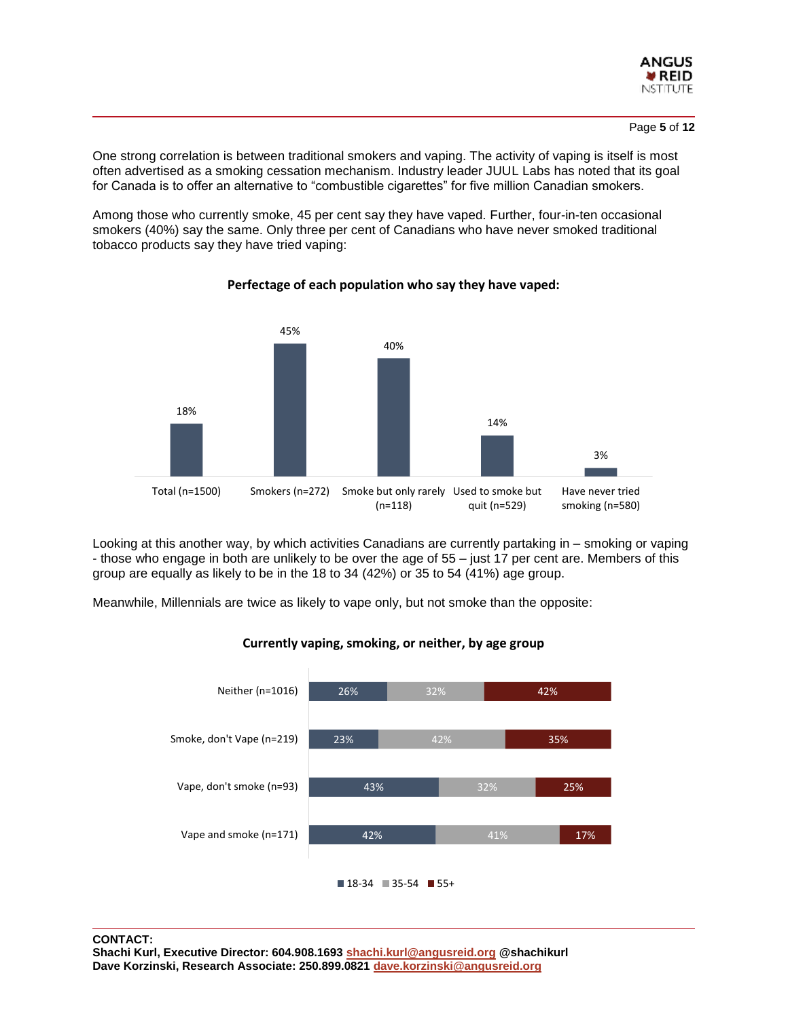

One strong correlation is between traditional smokers and vaping. The activity of vaping is itself is most often advertised as a smoking cessation mechanism. Industry leader JUUL Labs has noted that its goal for Canada is to offer an alternative to "combustible cigarettes" for five million Canadian smokers.

Among those who currently smoke, 45 per cent say they have vaped. Further, four-in-ten occasional smokers (40%) say the same. Only three per cent of Canadians who have never smoked traditional tobacco products say they have tried vaping:



**Perfectage of each population who say they have vaped:**

Looking at this another way, by which activities Canadians are currently partaking in – smoking or vaping - those who engage in both are unlikely to be over the age of 55 – just 17 per cent are. Members of this group are equally as likely to be in the 18 to 34 (42%) or 35 to 54 (41%) age group.

Meanwhile, Millennials are twice as likely to vape only, but not smoke than the opposite:



**Currently vaping, smoking, or neither, by age group**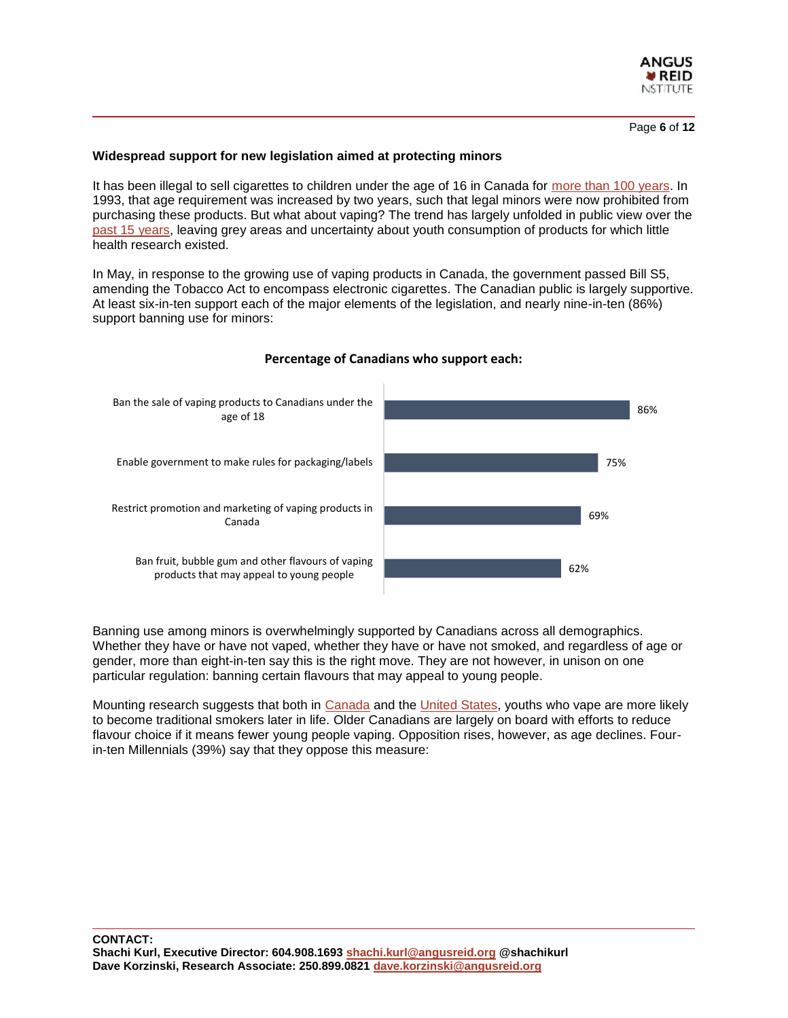

Page **6** of **12**

#### **Widespread support for new legislation aimed at protecting minors**

It has been illegal to sell cigarettes to children under the age of 16 in Canada for [more than 100 years.](https://www.cbc.ca/news/health/a-legal-history-of-smoking-in-canada-1.982213) In 1993, that age requirement was increased by two years, such that legal minors were now prohibited from purchasing these products. But what about vaping? The trend has largely unfolded in public view over the [past 15 years,](https://vapingdaily.com/what-is-vaping/vaping-history/) leaving grey areas and uncertainty about youth consumption of products for which little health research existed.

In May, in response to the growing use of vaping products in Canada, the government passed Bill S5, amending the Tobacco Act to encompass electronic cigarettes. The Canadian public is largely supportive. At least six-in-ten support each of the major elements of the legislation, and nearly nine-in-ten (86%) support banning use for minors:



#### **Percentage of Canadians who support each:**

Banning use among minors is overwhelmingly supported by Canadians across all demographics. Whether they have or have not vaped, whether they have or have not smoked, and regardless of age or gender, more than eight-in-ten say this is the right move. They are not however, in unison on one particular regulation: banning certain flavours that may appeal to young people.

Mounting research suggests that both in [Canada](https://www.cbc.ca/news/health/e-cigarette-teen-smoking-1.4295522) and the [United States,](https://www.bloomberg.com/news/articles/2018-03-14/e-cigarette-study-says-they-lead-to-more-smokers-than-they-stop) youths who vape are more likely to become traditional smokers later in life. Older Canadians are largely on board with efforts to reduce flavour choice if it means fewer young people vaping. Opposition rises, however, as age declines. Fourin-ten Millennials (39%) say that they oppose this measure: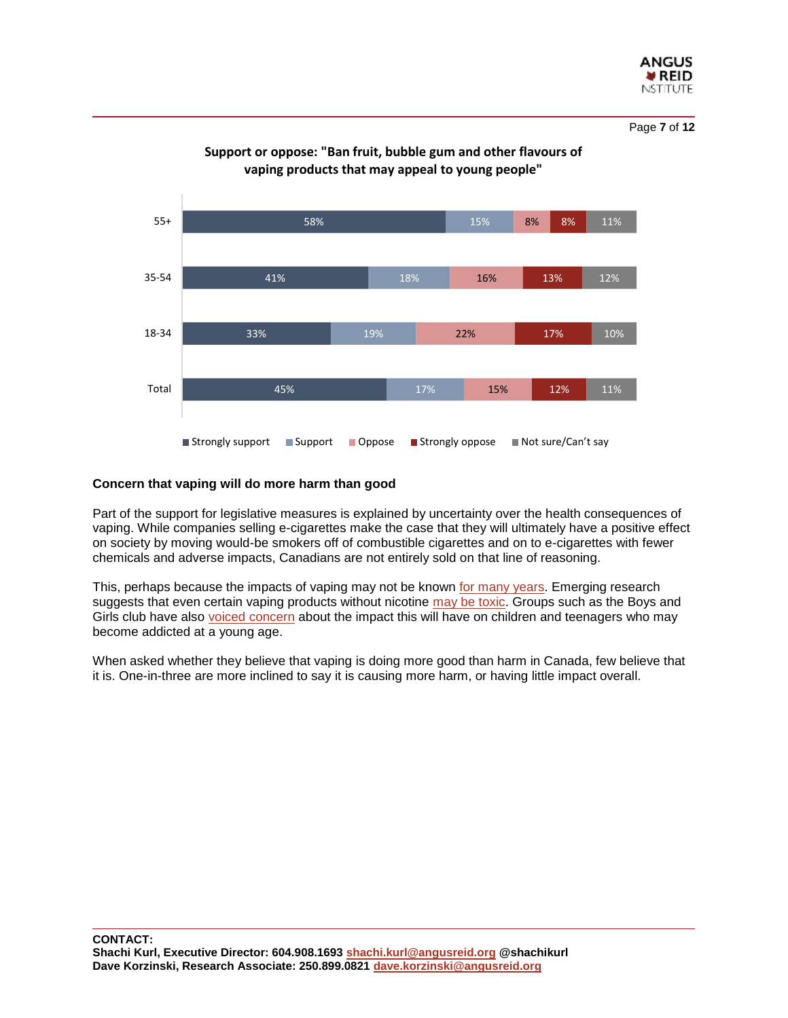

Page **7** of **12**



# **Support or oppose: "Ban fruit, bubble gum and other flavours of vaping products that may appeal to young people"**

#### **Concern that vaping will do more harm than good**

Part of the support for legislative measures is explained by uncertainty over the health consequences of vaping. While companies selling e-cigarettes make the case that they will ultimately have a positive effect on society by moving would-be smokers off of combustible cigarettes and on to e-cigarettes with fewer chemicals and adverse impacts, Canadians are not entirely sold on that line of reasoning.

This, perhaps because the impacts of vaping may not be known [for many years.](https://www.cbc.ca/news/health/second-opinion-vape-1.4807280) Emerging research suggests that even certain vaping products without nicotine [may be toxic.](https://www.sciencenewsforstudents.org/article/e-cigarettes-dont-need-nicotine-be-toxic) Groups such as the Boys and Girls club have also [voiced concern](https://www.thestar.com/business/2018/08/30/vaping-giant-juul-plans-canadian-e-cig-domination-amid-success-and-controversy-in-us.html) about the impact this will have on children and teenagers who may become addicted at a young age.

When asked whether they believe that vaping is doing more good than harm in Canada, few believe that it is. One-in-three are more inclined to say it is causing more harm, or having little impact overall.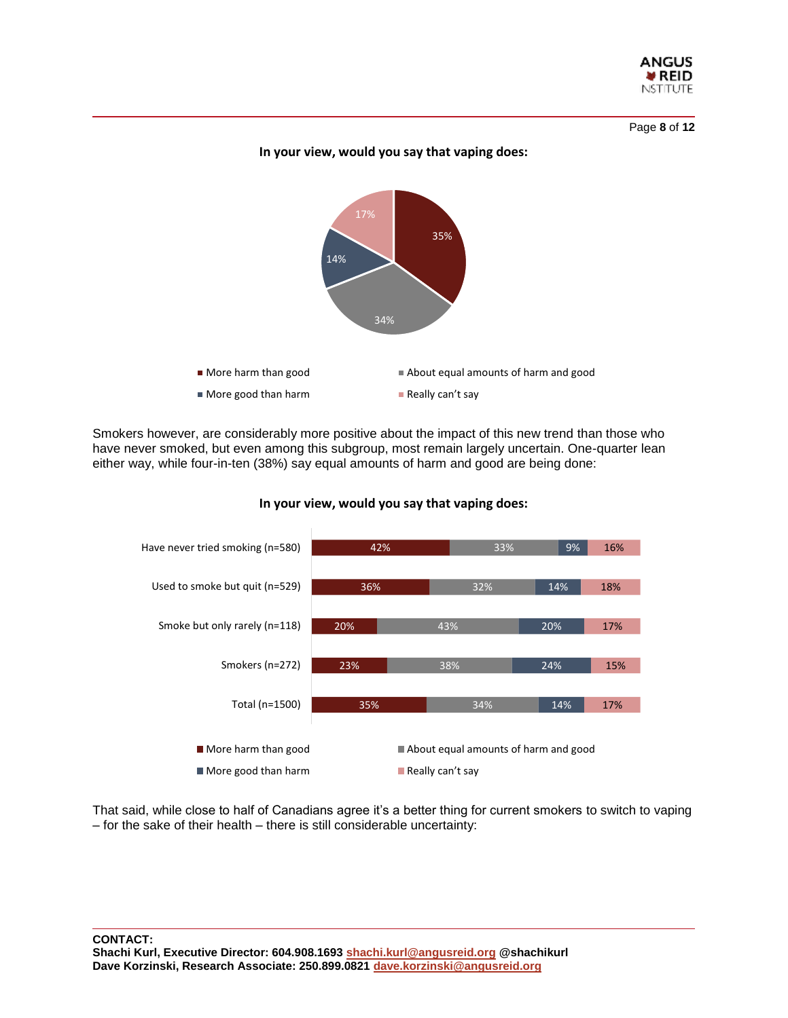

Page **8** of **12**

#### **In your view, would you say that vaping does:**



Smokers however, are considerably more positive about the impact of this new trend than those who have never smoked, but even among this subgroup, most remain largely uncertain. One-quarter lean either way, while four-in-ten (38%) say equal amounts of harm and good are being done:



#### **In your view, would you say that vaping does:**

That said, while close to half of Canadians agree it's a better thing for current smokers to switch to vaping – for the sake of their health – there is still considerable uncertainty: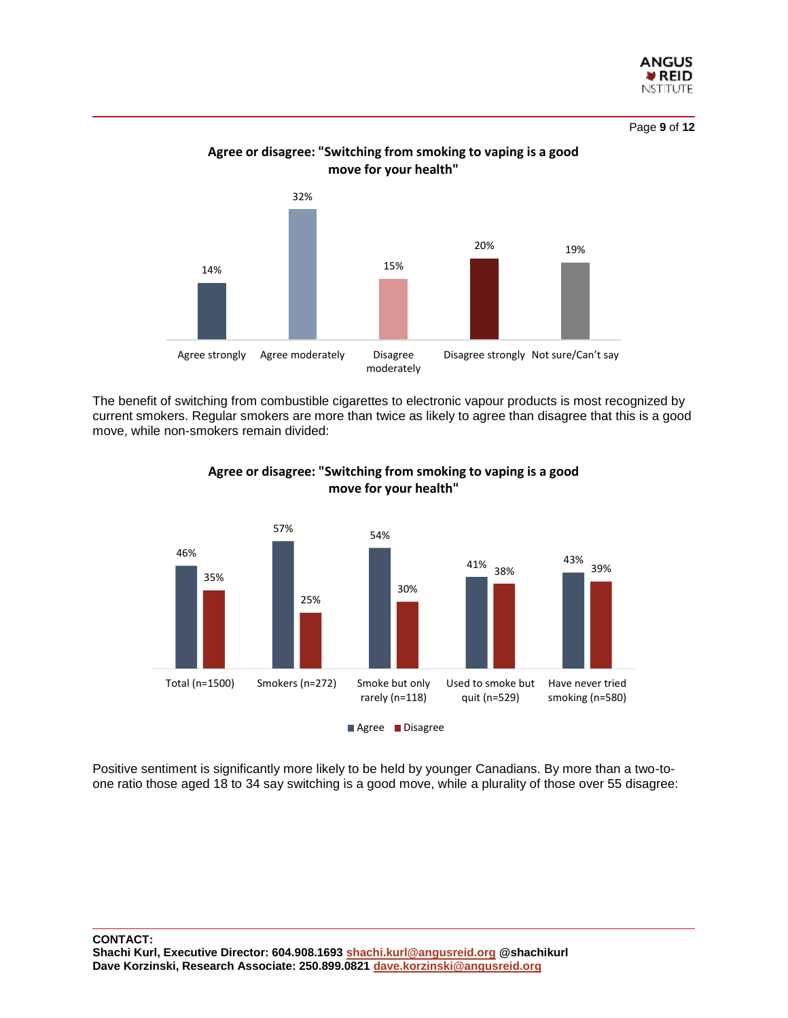

Page **9** of **12**



# **Agree or disagree: "Switching from smoking to vaping is a good move for your health"**

The benefit of switching from combustible cigarettes to electronic vapour products is most recognized by current smokers. Regular smokers are more than twice as likely to agree than disagree that this is a good move, while non-smokers remain divided:



# **Agree or disagree: "Switching from smoking to vaping is a good move for your health"**

Positive sentiment is significantly more likely to be held by younger Canadians. By more than a two-toone ratio those aged 18 to 34 say switching is a good move, while a plurality of those over 55 disagree: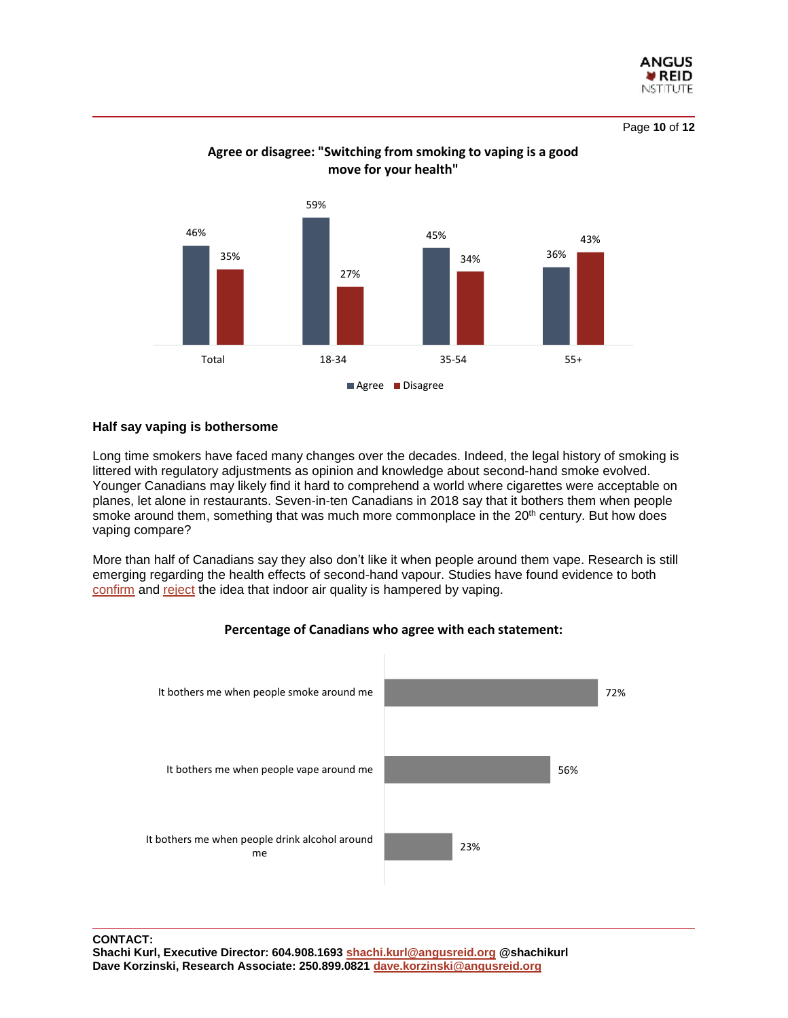

Page **10** of **12**



# **Agree or disagree: "Switching from smoking to vaping is a good move for your health"**

#### **Half say vaping is bothersome**

Long time smokers have faced many changes over the decades. Indeed, the legal history of smoking is littered with regulatory adjustments as opinion and knowledge about second-hand smoke evolved. Younger Canadians may likely find it hard to comprehend a world where cigarettes were acceptable on planes, let alone in restaurants. Seven-in-ten Canadians in 2018 say that it bothers them when people smoke around them, something that was much more commonplace in the 20<sup>th</sup> century. But how does vaping compare?

More than half of Canadians say they also don't like it when people around them vape. Research is still emerging regarding the health effects of second-hand vapour. Studies have found evidence to both [confirm](https://www.scientificamerican.com/article/e-cigs-and-second-hand-vaping/) and [reject](https://assets.publishing.service.gov.uk/government/uploads/system/uploads/attachment_data/file/733022/Ecigarettes_an_evidence_update_A_report_commissioned_by_Public_Health_England_FINAL.pdf) the idea that indoor air quality is hampered by vaping.



#### **Percentage of Canadians who agree with each statement:**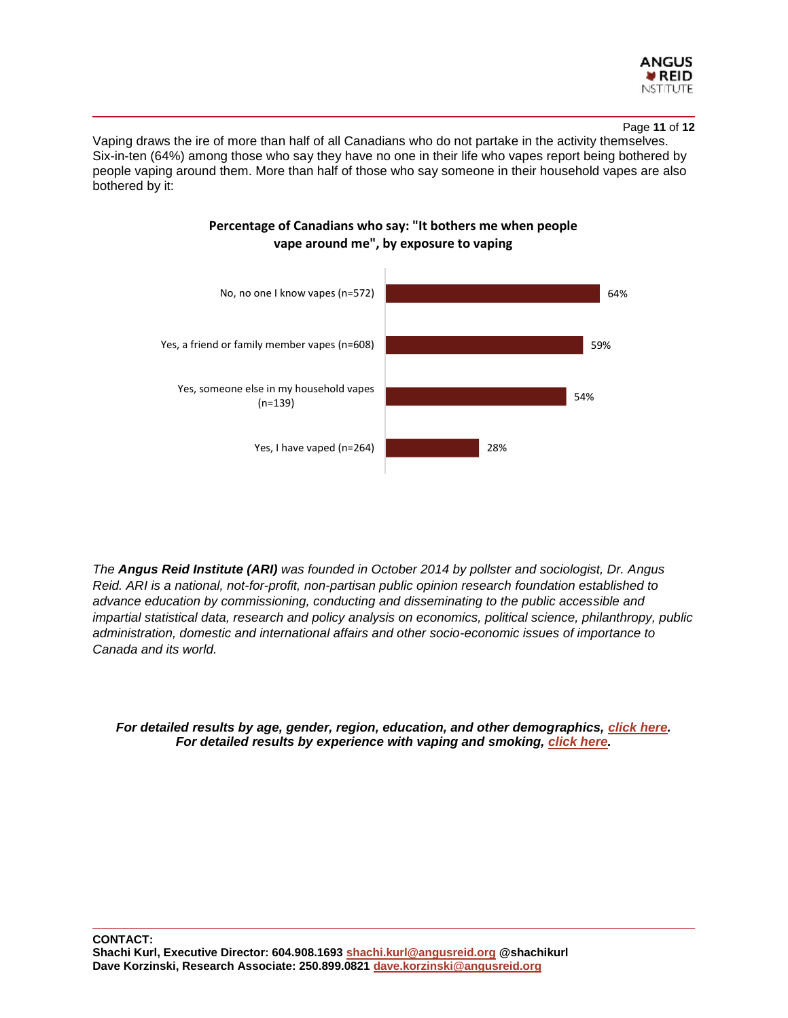

#### Page **11** of **12**

Vaping draws the ire of more than half of all Canadians who do not partake in the activity themselves. Six-in-ten (64%) among those who say they have no one in their life who vapes report being bothered by people vaping around them. More than half of those who say someone in their household vapes are also bothered by it:



# **Percentage of Canadians who say: "It bothers me when people vape around me", by exposure to vaping**

*The Angus Reid Institute (ARI) was founded in October 2014 by pollster and sociologist, Dr. Angus Reid. ARI is a national, not-for-profit, non-partisan public opinion research foundation established to advance education by commissioning, conducting and disseminating to the public accessible and impartial statistical data, research and policy analysis on economics, political science, philanthropy, public administration, domestic and international affairs and other socio-economic issues of importance to Canada and its world.*

*For detailed results by age, gender, region, education, and other demographics, [click here.](http://angusreid.org/wp-content/uploads/2018/09/2018.08.20-Vaping-ReleaseTables.pdf) For detailed results by experience with vaping and smoking, [click here.](http://angusreid.org/wp-content/uploads/2018/09/2018.08.20-Vaping-ReleaseTables-2.pdf)*